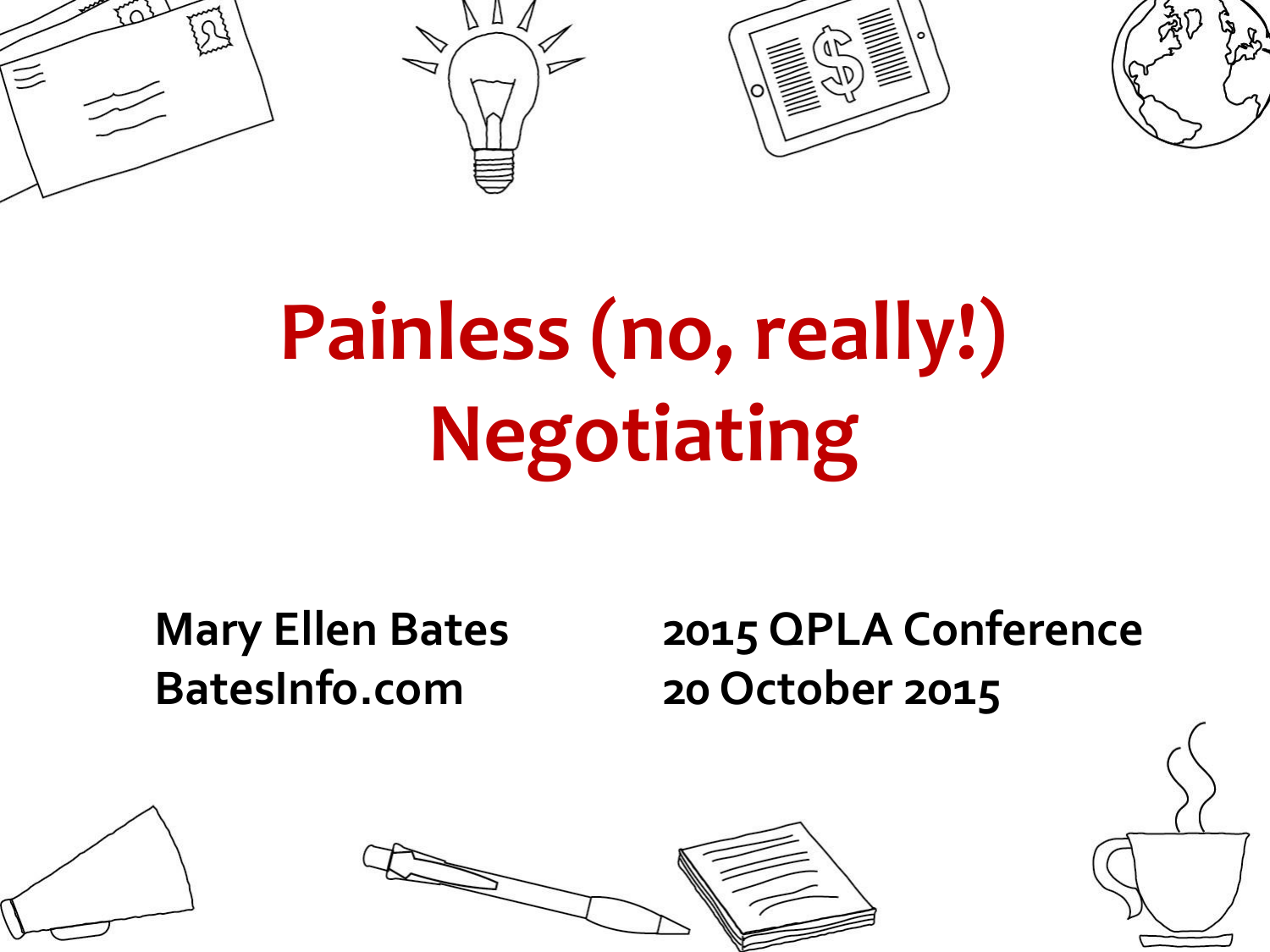







## **Painless (no, really!) Negotiating**

**BatesInfo.com 20 October 2015**

**Mary Ellen Bates 2015 QPLA Conference**



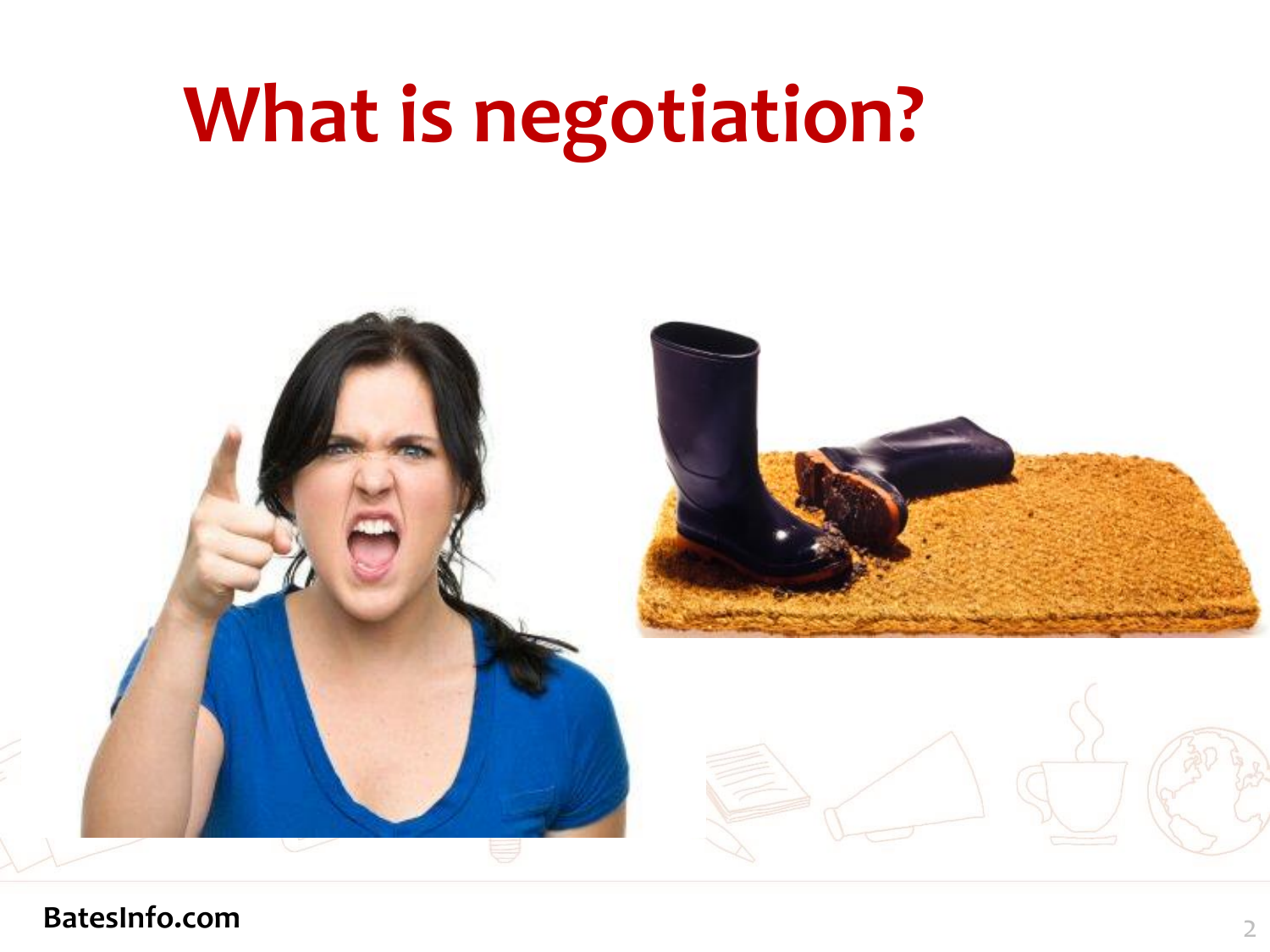# **What is negotiation?**



**BatesInfo.com**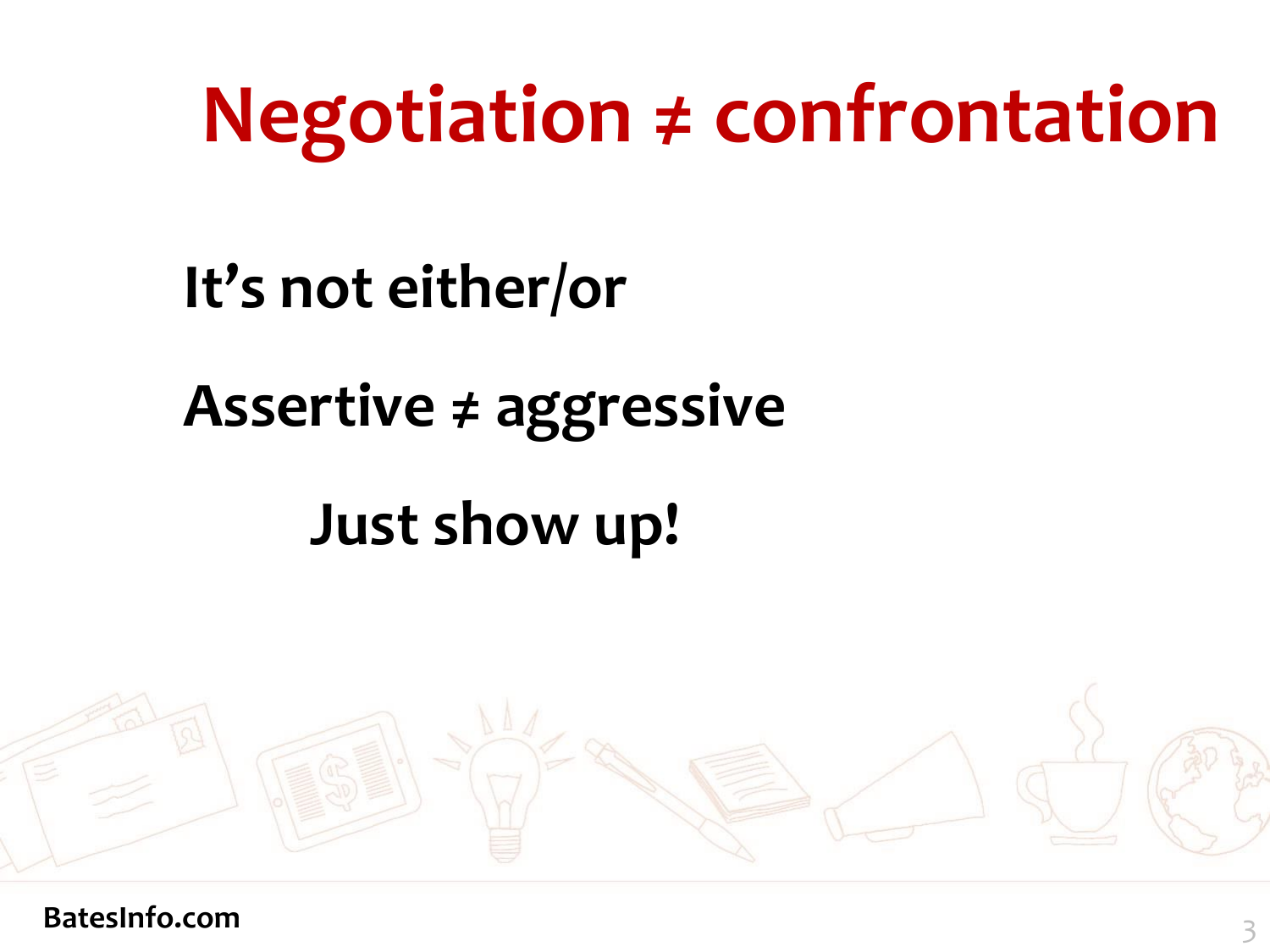## **Negotiation ≠ confrontation**

**It's not either/or**

### **Assertive ≠ aggressive**

### **Just show up!**



**BatesInfo.com**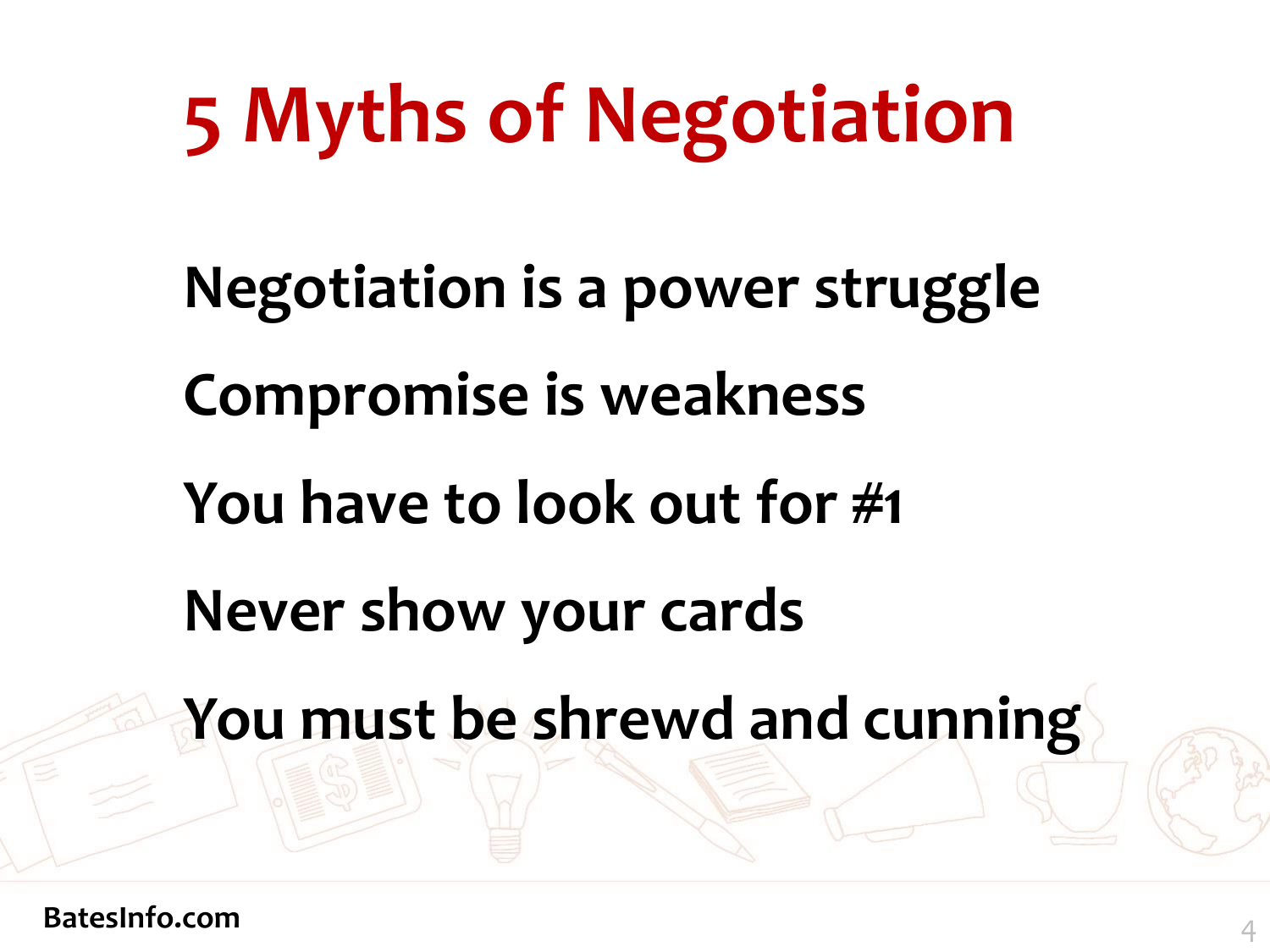# **5 Myths of Negotiation**

**Negotiation is a power struggle Compromise is weakness You have to look out for #1 Never show your cards You must be shrewd and cunning**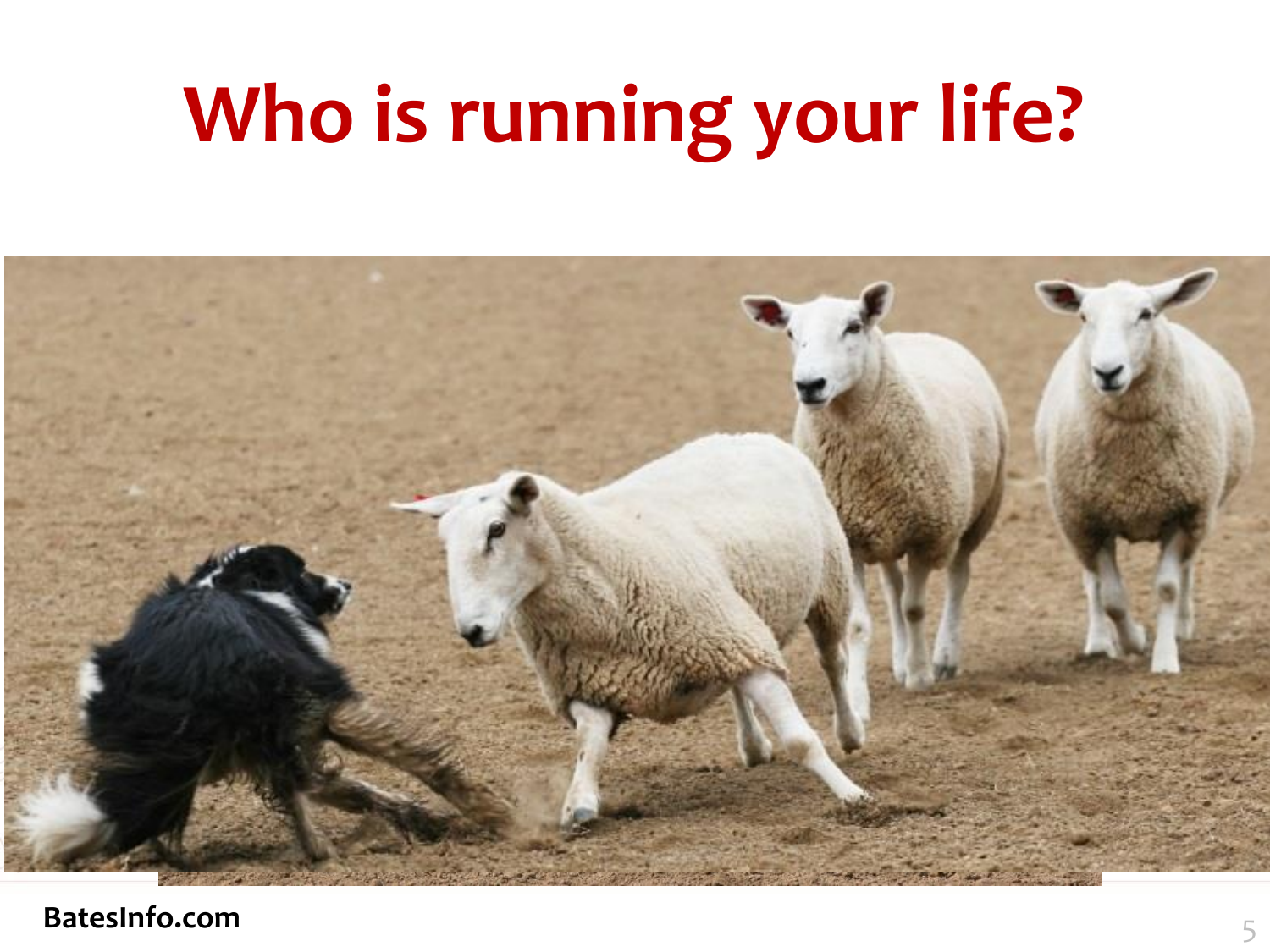# **Who is running your life?**



**BatesInfo.com**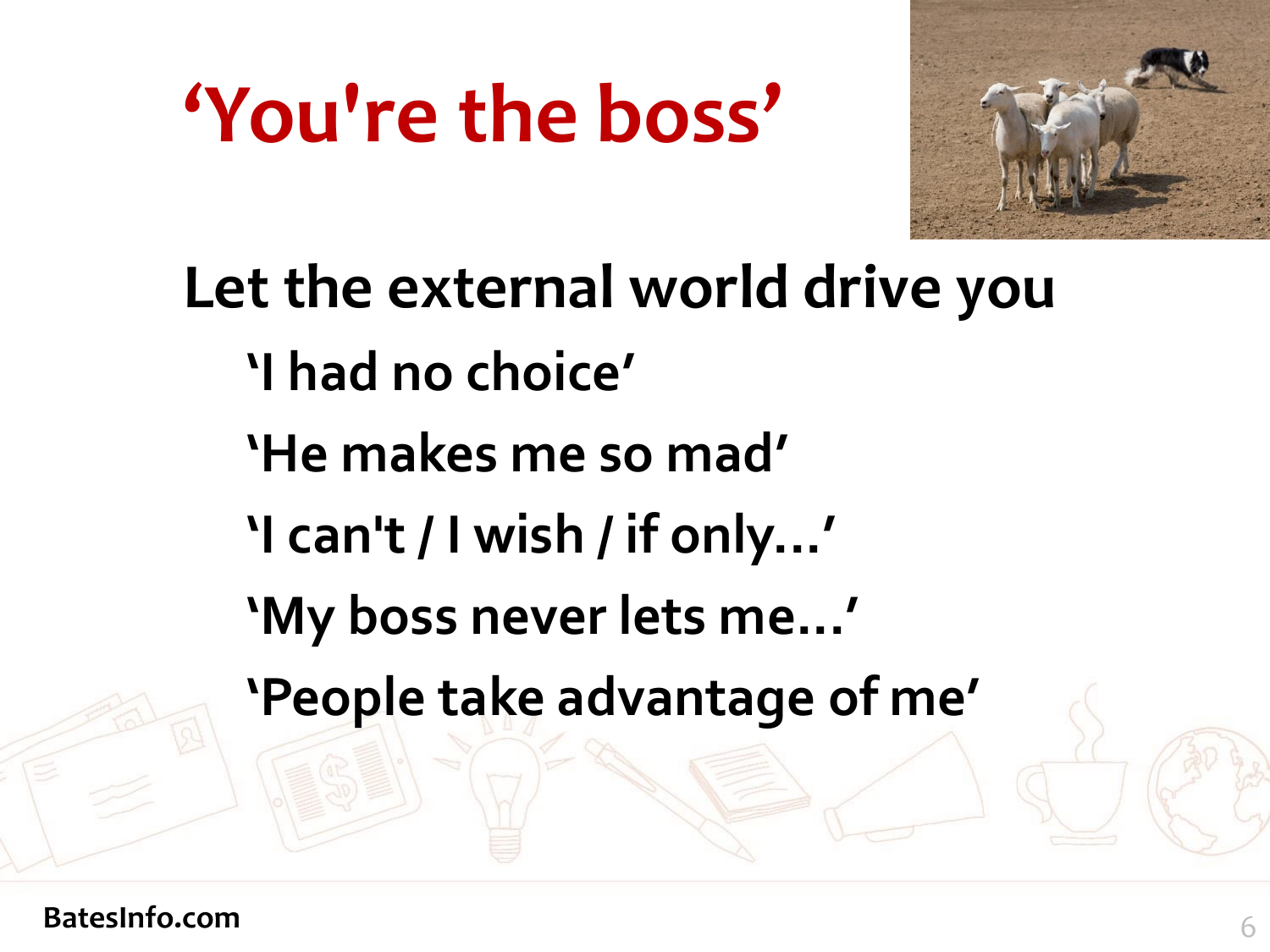# **'You're the boss'**



**Let the external world drive you 'I had no choice' 'He makes me so mad' 'I can't / I wish / if only...' 'My boss never lets me...' 'People take advantage of me'**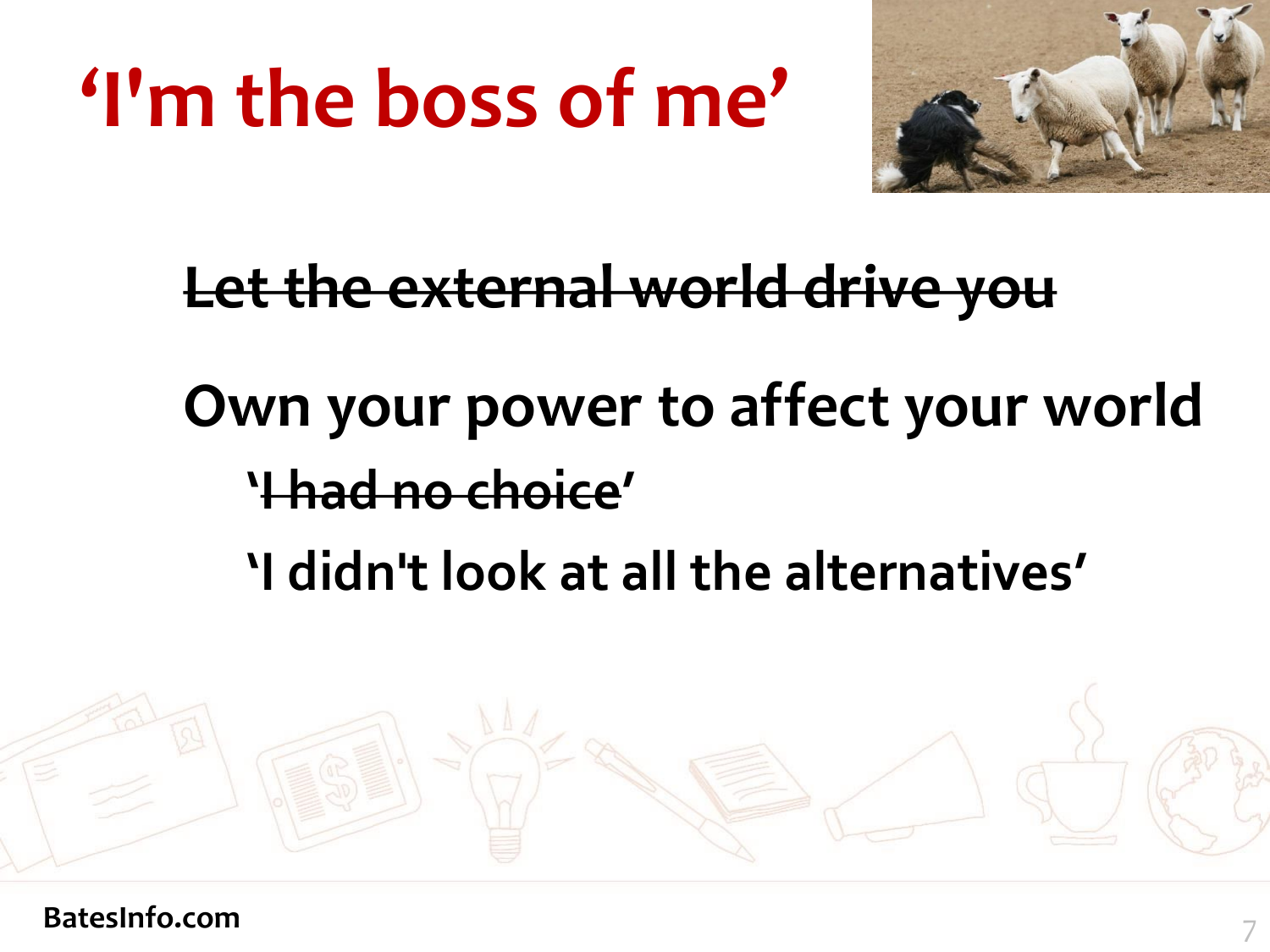# **'I'm the boss of me'**



#### **Let the external world drive you**

### **Own your power to affect your world 'I had no choice' 'I didn't look at all the alternatives'**

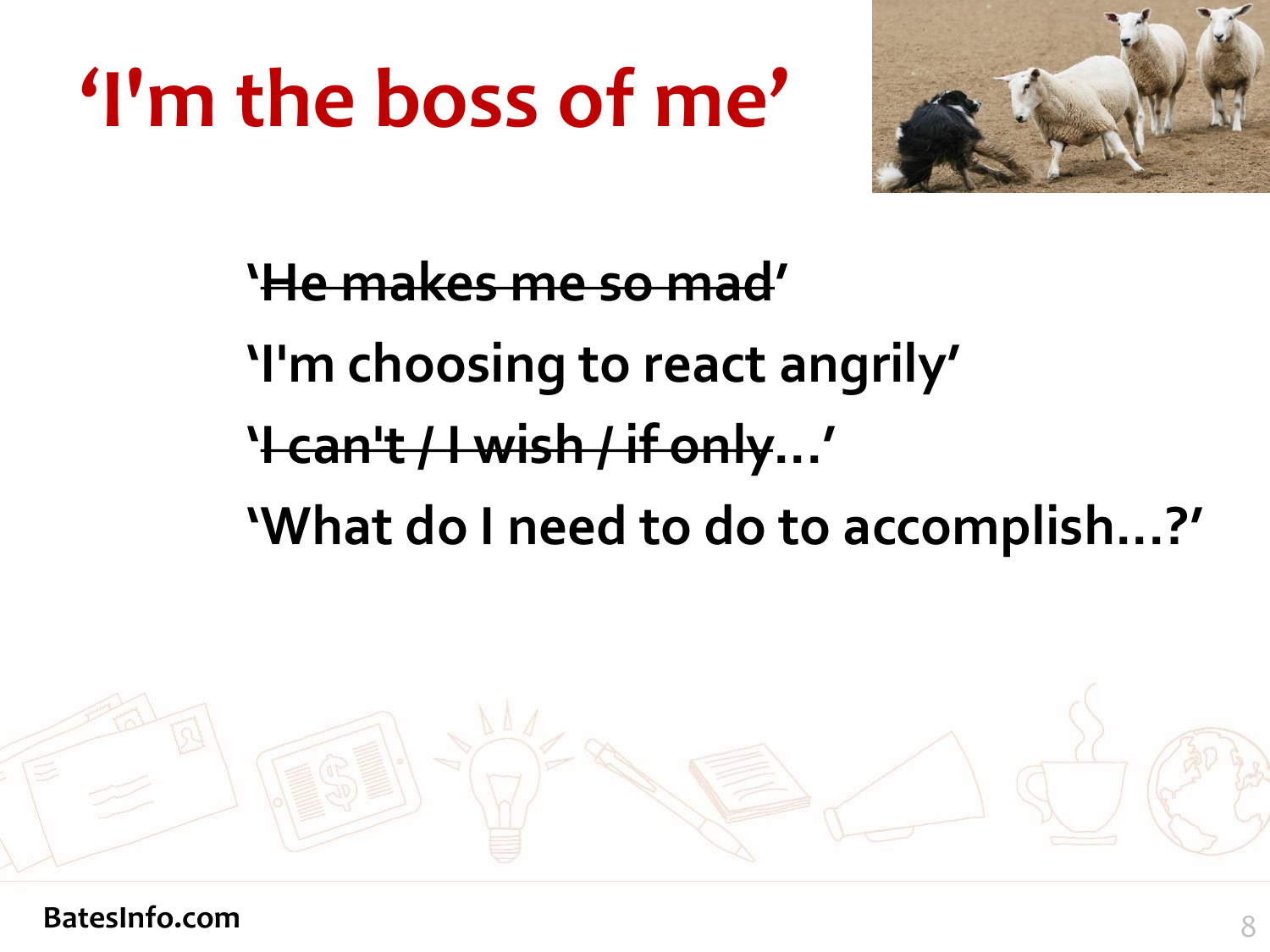# **'I'm the boss of me'**



**'He makes me so mad' 'I'm choosing to react angrily' 'I can't / I wish / if only...' 'What do I need to do to accomplish...?'**

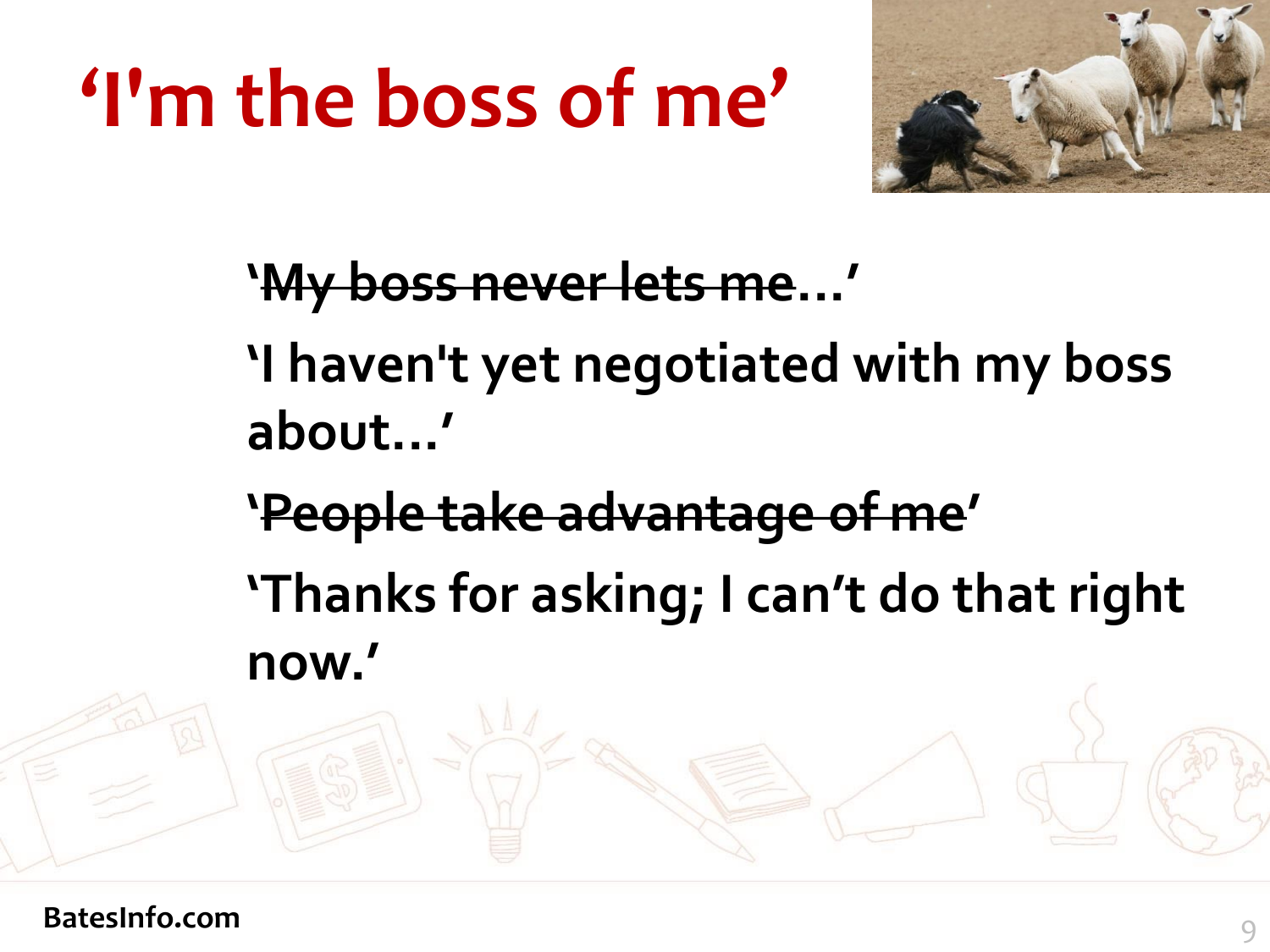# **'I'm the boss of me'**



**'My boss never lets me...'**

- **'I haven't yet negotiated with my boss about...'**
- **'People take advantage of me' 'Thanks for asking; I can't do that right now.'**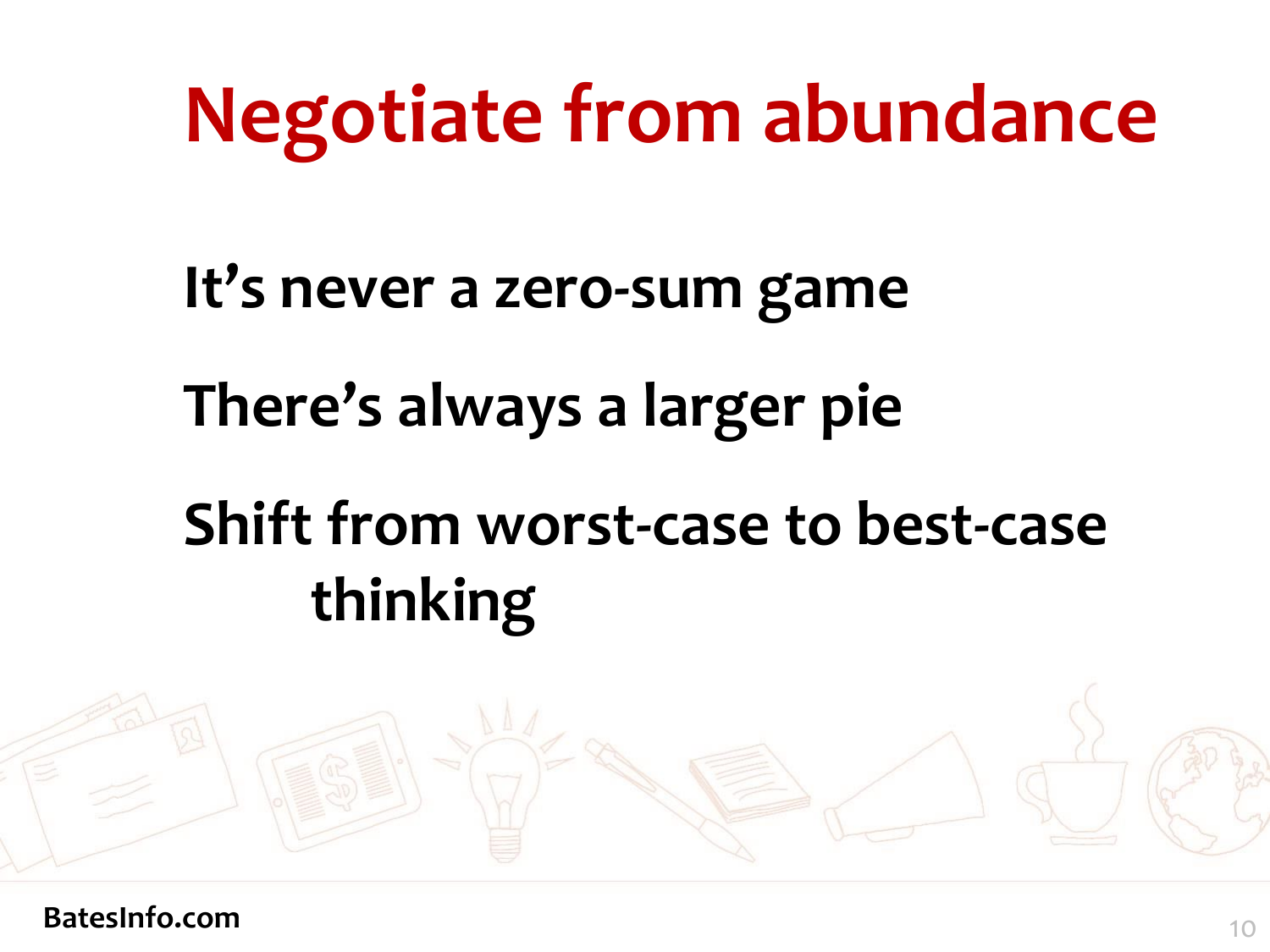# **Negotiate from abundance**

#### **It's never a zero-sum game**

#### **There's always a larger pie**

### **Shift from worst-case to best-case thinking**

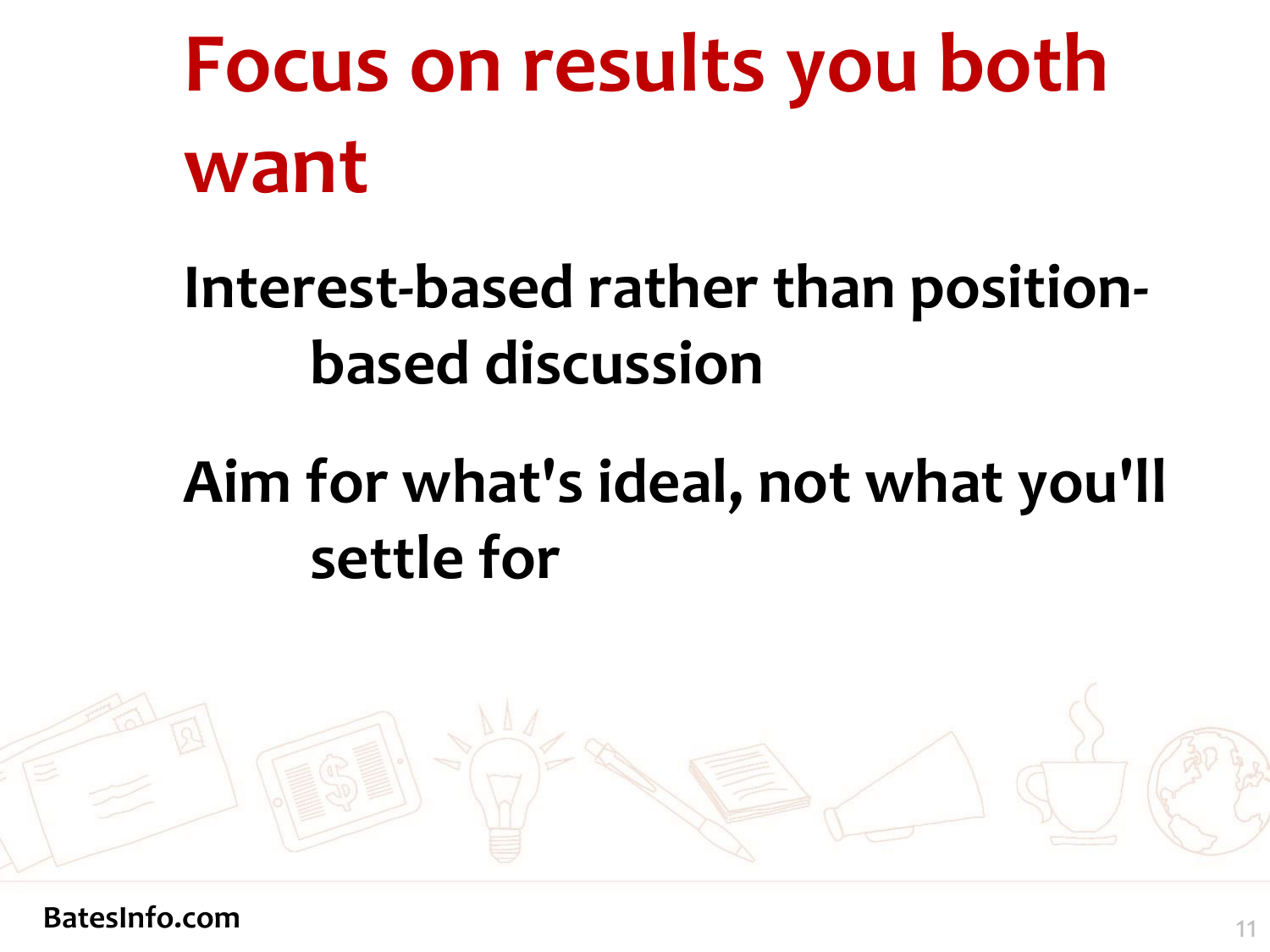# **Focus on results you both want**

### **Interest-based rather than positionbased discussion**

### **Aim for what's ideal, not what you'll settle for**

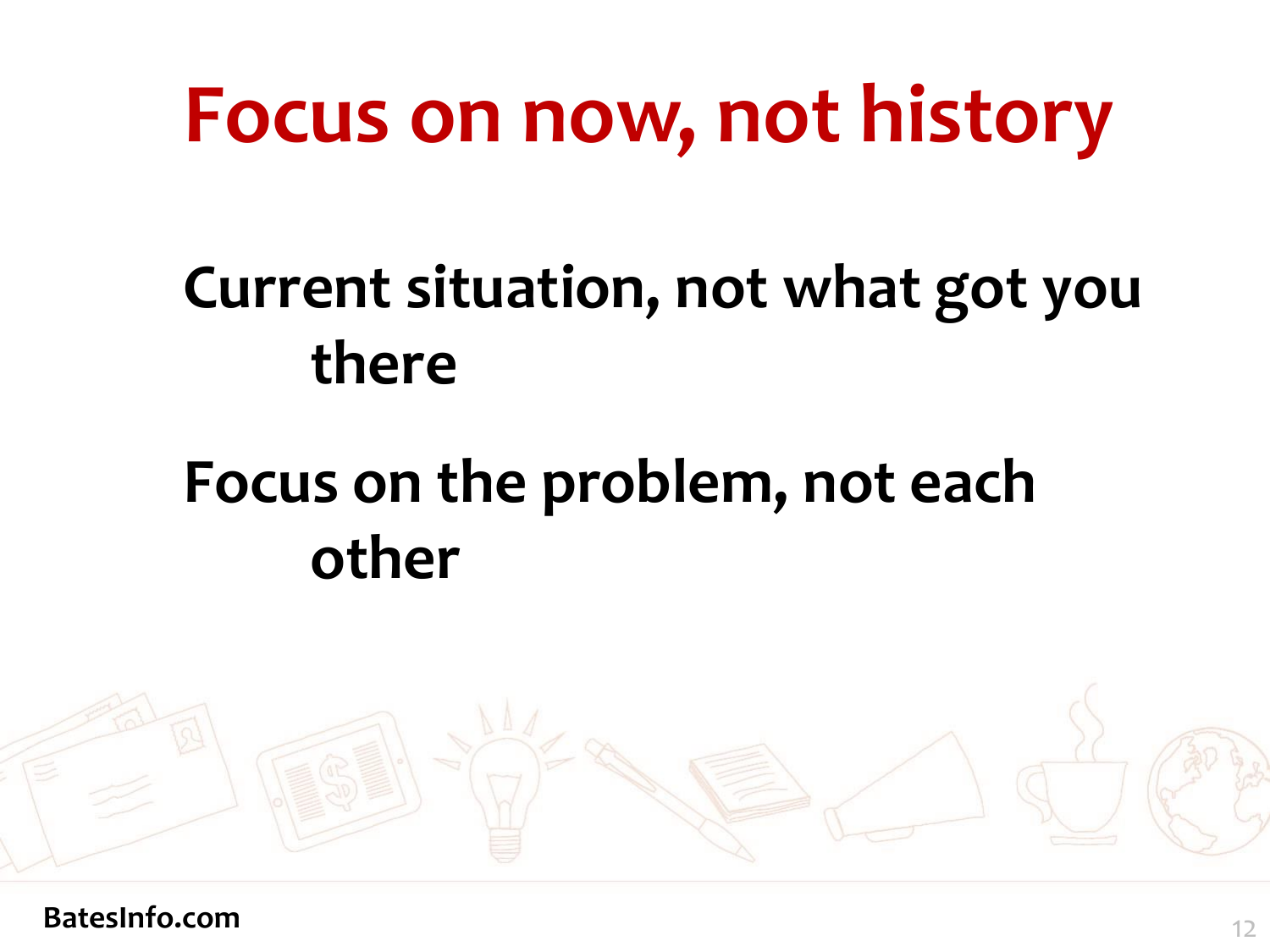## **Focus on now, not history**

#### **Current situation, not what got you there**

### **Focus on the problem, not each other**

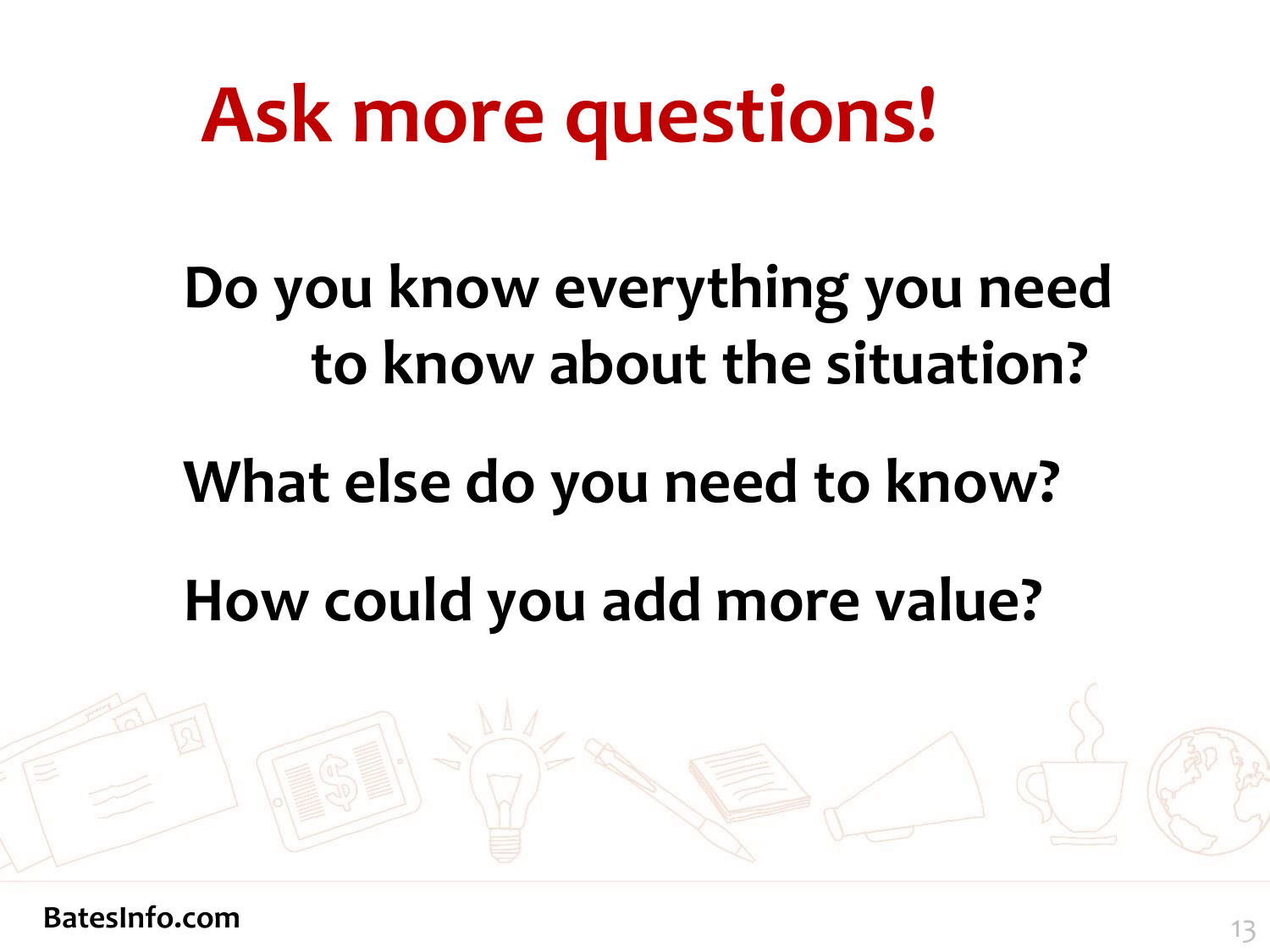## **Ask more questions!**

### **Do you know everything you need to know about the situation?**

#### **What else do you need to know?**

### **How could you add more value?**

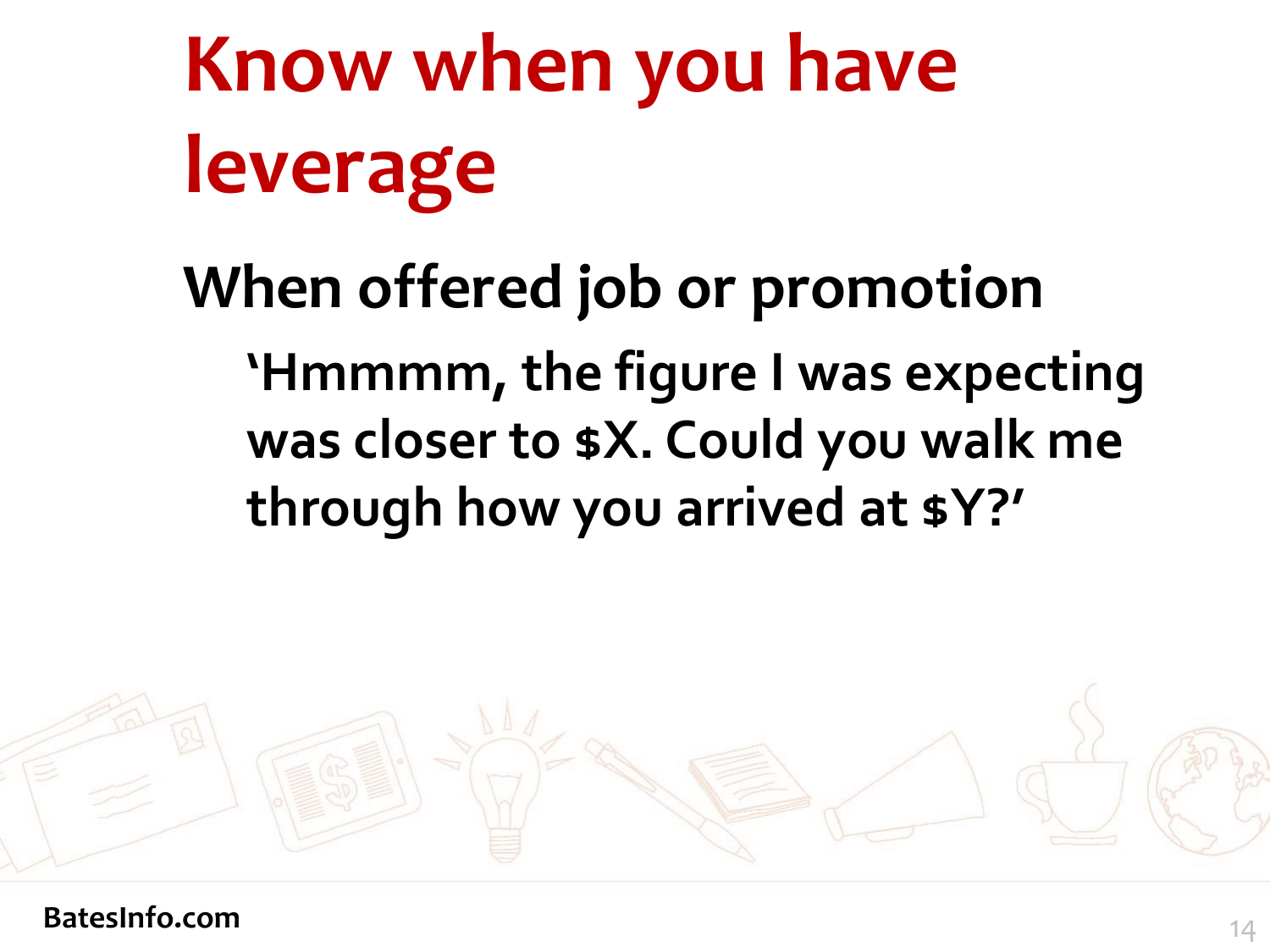# **Know when you have leverage**

**When offered job or promotion 'Hmmmm, the figure I was expecting was closer to \$X. Could you walk me through how you arrived at \$Y?'**

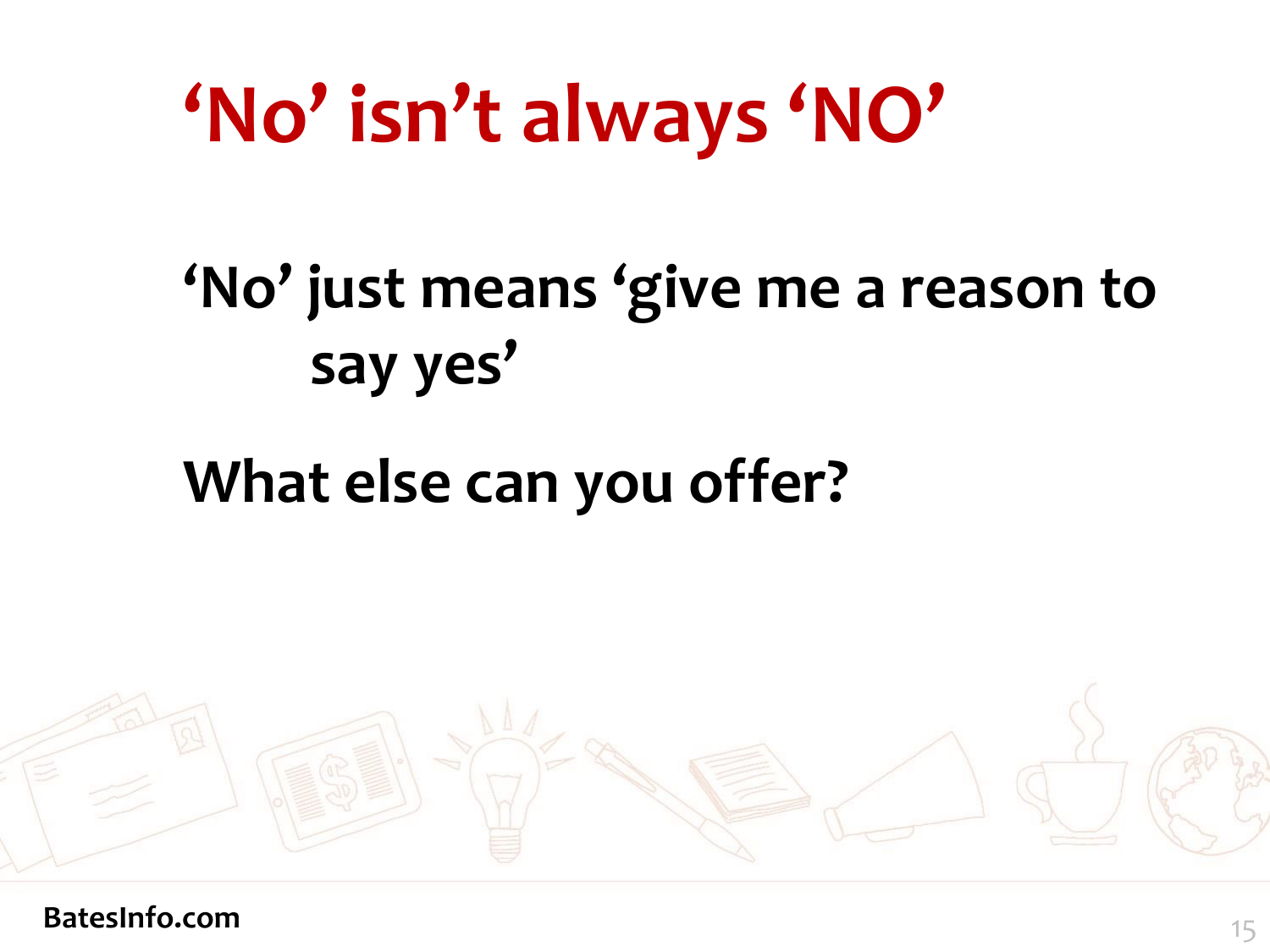# **'No' isn't always 'NO'**

### **'No' just means 'give me a reason to say yes'**

#### **What else can you offer?**



**BatesInfo.com**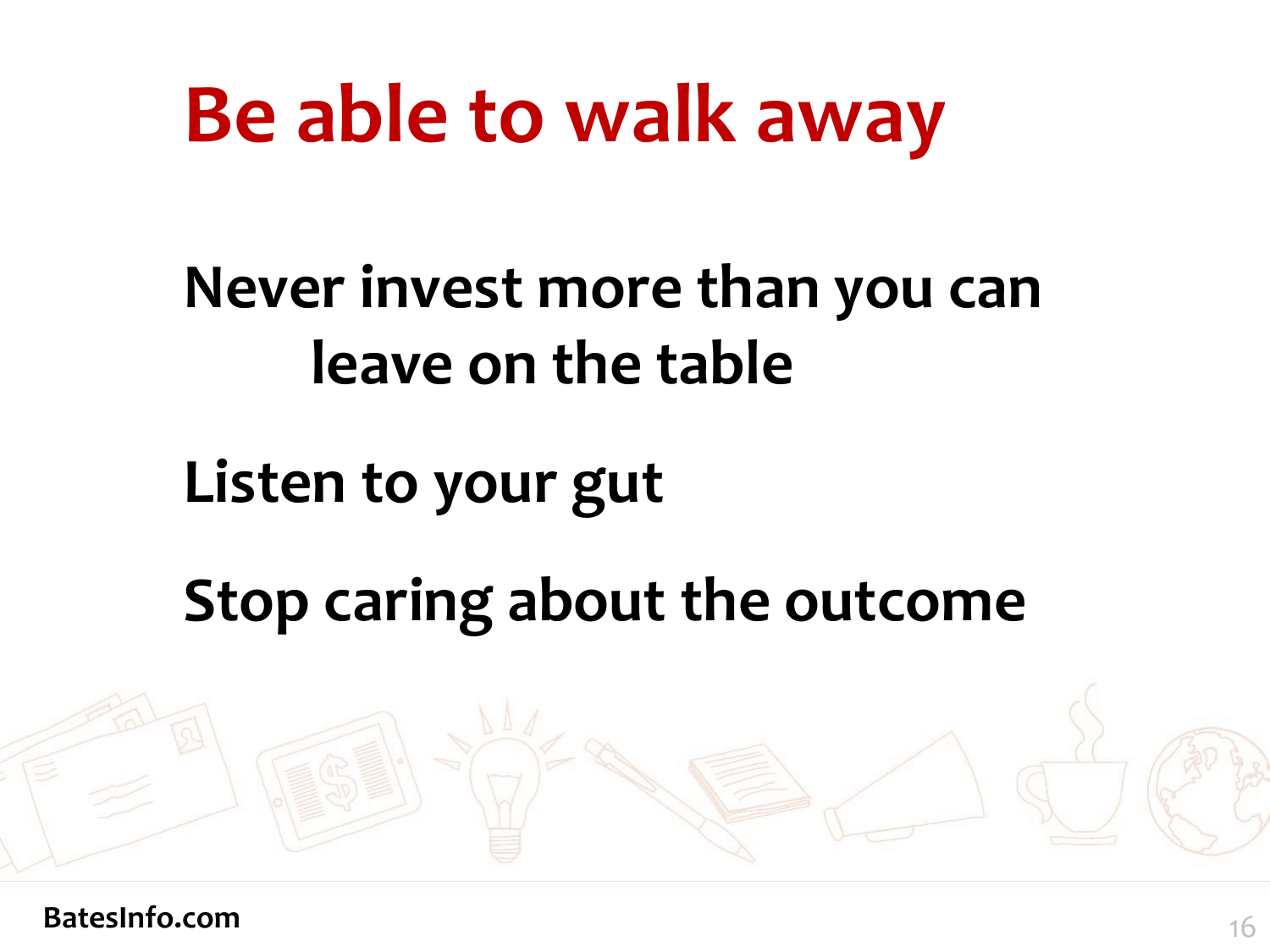## **Be able to walk away**

#### **Never invest more than you can leave on the table**

### **Listen to your gut**

### **Stop caring about the outcome**

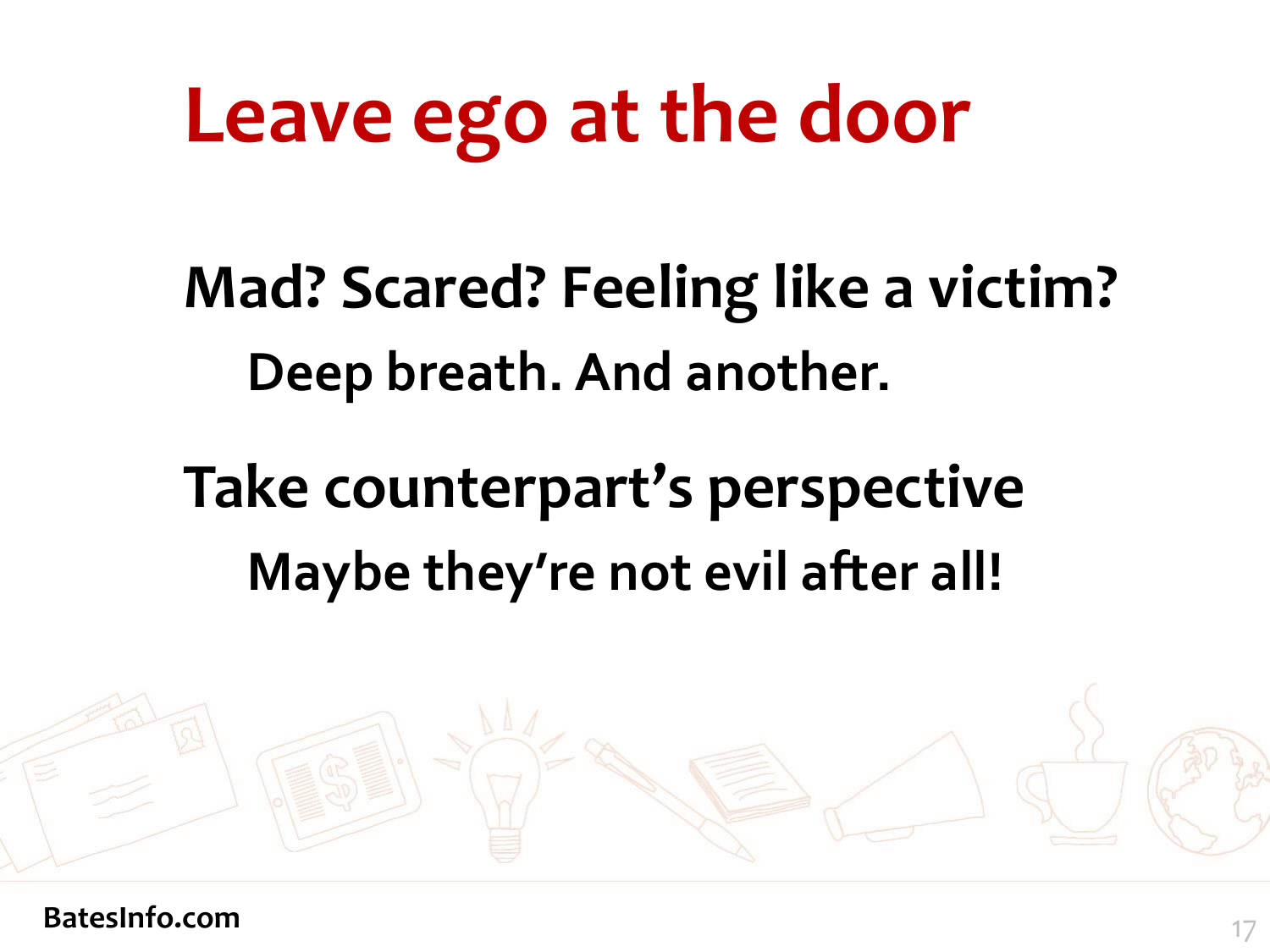## **Leave ego at the door**

### **Mad? Scared? Feeling like a victim? Deep breath. And another.**

### **Take counterpart's perspective Maybe they're not evil after all!**

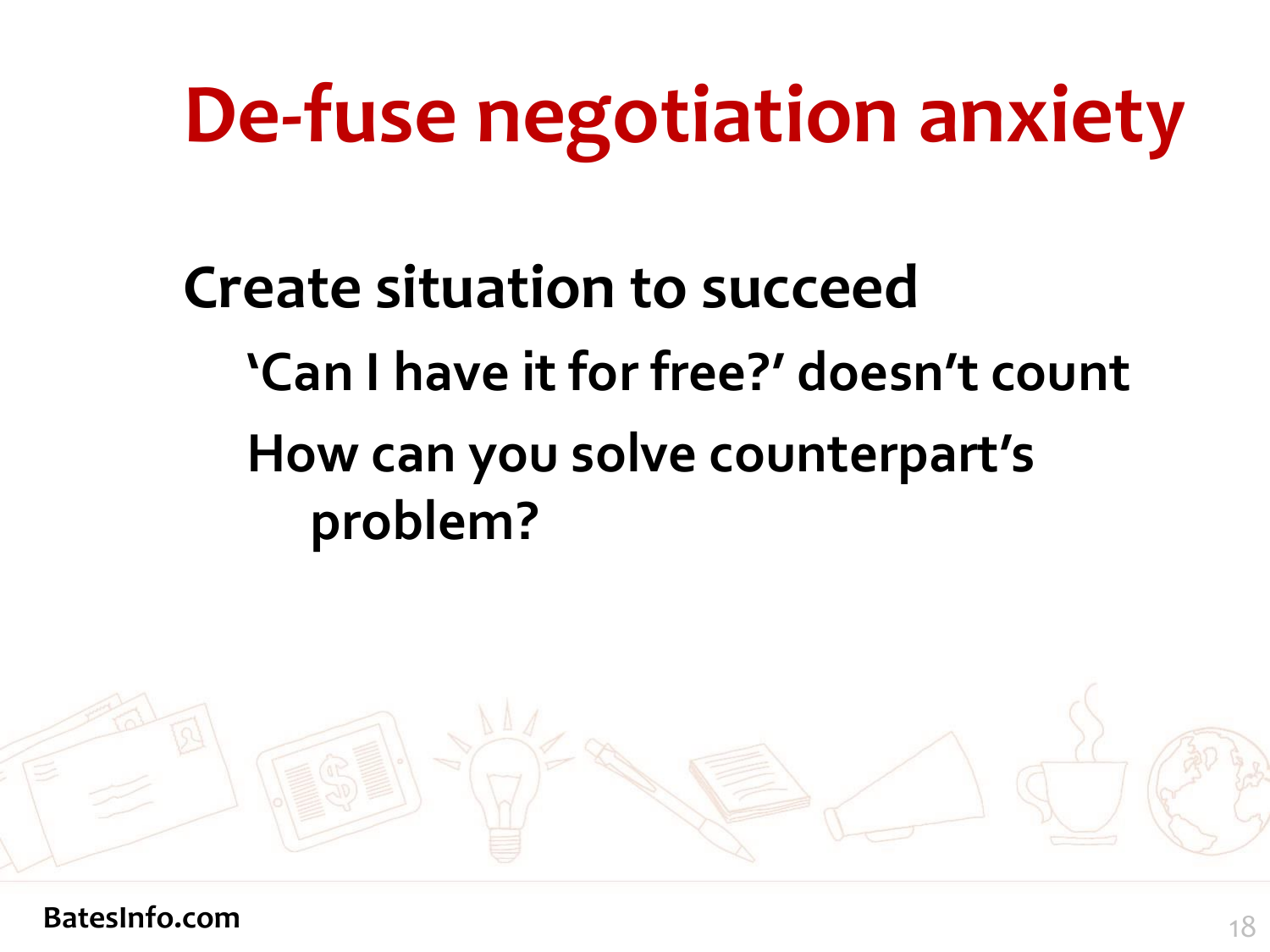# **De-fuse negotiation anxiety**

**Create situation to succeed 'Can I have it for free?' doesn't count How can you solve counterpart's problem?**

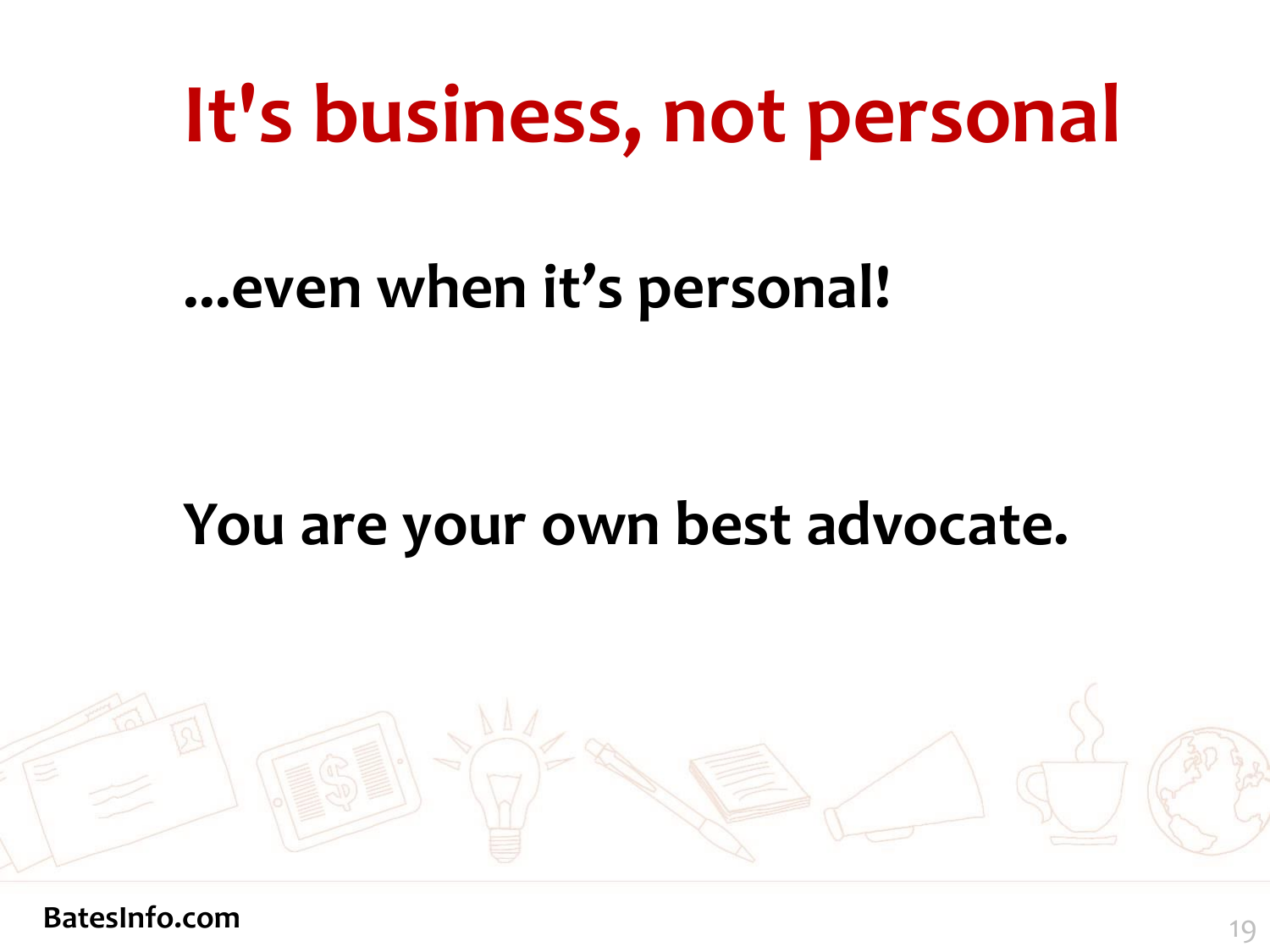## **It's business, not personal**

#### **...even when it's personal!**

#### **You are your own best advocate.**

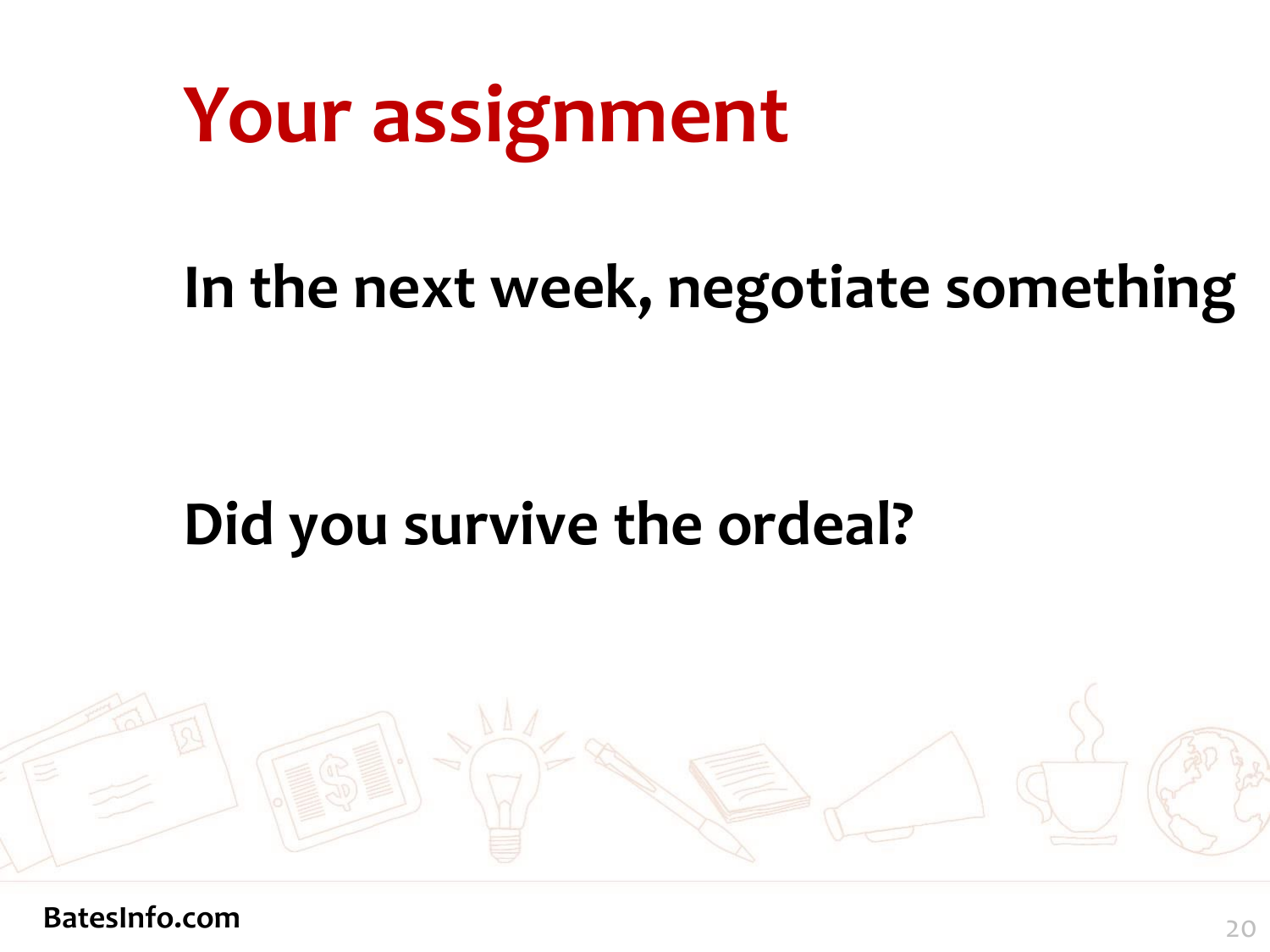## **Your assignment**

#### **In the next week, negotiate something**

#### **Did you survive the ordeal?**

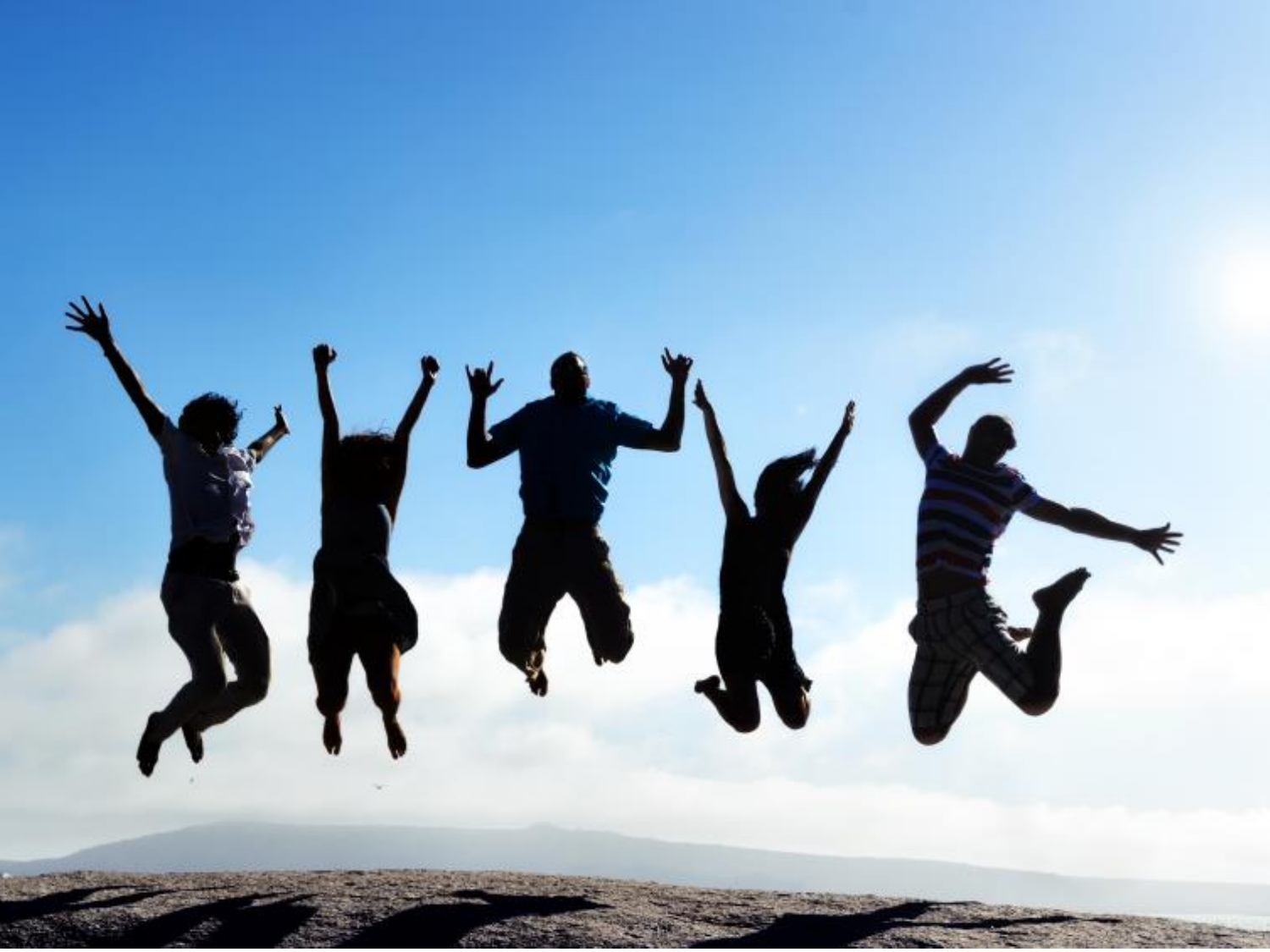